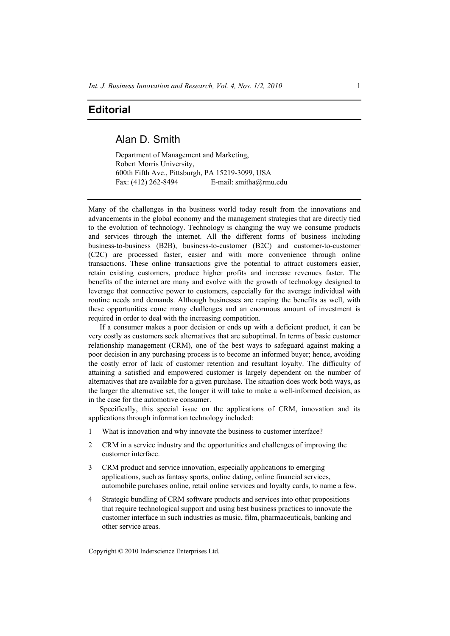## **Editorial**

## Alan D. Smith

Department of Management and Marketing, Robert Morris University, 600th Fifth Ave., Pittsburgh, PA 15219-3099, USA Fax: (412) 262-8494 E-mail: smitha@rmu.edu

Many of the challenges in the business world today result from the innovations and advancements in the global economy and the management strategies that are directly tied to the evolution of technology. Technology is changing the way we consume products and services through the internet. All the different forms of business including business-to-business (B2B), business-to-customer (B2C) and customer-to-customer (C2C) are processed faster, easier and with more convenience through online transactions. These online transactions give the potential to attract customers easier, retain existing customers, produce higher profits and increase revenues faster. The benefits of the internet are many and evolve with the growth of technology designed to leverage that connective power to customers, especially for the average individual with routine needs and demands. Although businesses are reaping the benefits as well, with these opportunities come many challenges and an enormous amount of investment is required in order to deal with the increasing competition.

If a consumer makes a poor decision or ends up with a deficient product, it can be very costly as customers seek alternatives that are suboptimal. In terms of basic customer relationship management (CRM), one of the best ways to safeguard against making a poor decision in any purchasing process is to become an informed buyer; hence, avoiding the costly error of lack of customer retention and resultant loyalty. The difficulty of attaining a satisfied and empowered customer is largely dependent on the number of alternatives that are available for a given purchase. The situation does work both ways, as the larger the alternative set, the longer it will take to make a well-informed decision, as in the case for the automotive consumer.

Specifically, this special issue on the applications of CRM, innovation and its applications through information technology included:

- 1 What is innovation and why innovate the business to customer interface?
- 2 CRM in a service industry and the opportunities and challenges of improving the customer interface.
- 3 CRM product and service innovation, especially applications to emerging applications, such as fantasy sports, online dating, online financial services, automobile purchases online, retail online services and loyalty cards, to name a few.
- 4 Strategic bundling of CRM software products and services into other propositions that require technological support and using best business practices to innovate the customer interface in such industries as music, film, pharmaceuticals, banking and other service areas.

Copyright © 2010 Inderscience Enterprises Ltd.